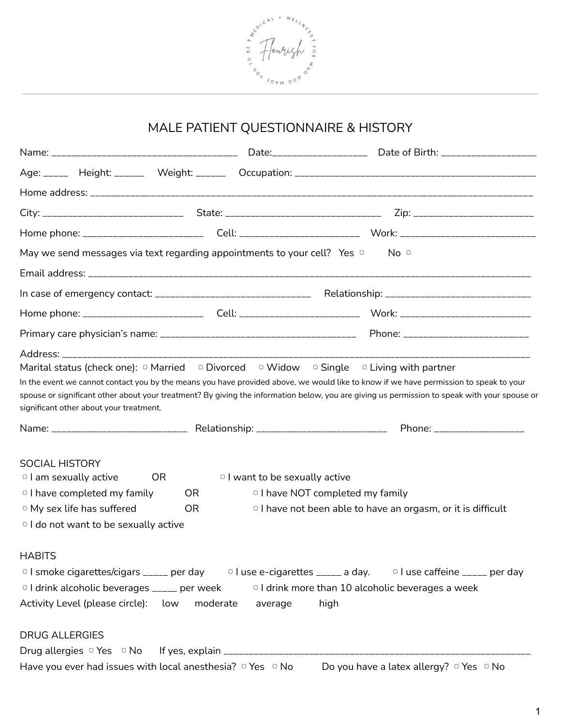

## MALE PATIENT QUESTIONNAIRE & HISTORY

|                                                                                                                                                                                | May we send messages via text regarding appointments to your cell? Yes o |                                           | No <sub>o</sub>                                                                                                                                                                                                                                                                                                                                                                                                |
|--------------------------------------------------------------------------------------------------------------------------------------------------------------------------------|--------------------------------------------------------------------------|-------------------------------------------|----------------------------------------------------------------------------------------------------------------------------------------------------------------------------------------------------------------------------------------------------------------------------------------------------------------------------------------------------------------------------------------------------------------|
|                                                                                                                                                                                |                                                                          |                                           |                                                                                                                                                                                                                                                                                                                                                                                                                |
|                                                                                                                                                                                |                                                                          |                                           |                                                                                                                                                                                                                                                                                                                                                                                                                |
|                                                                                                                                                                                |                                                                          |                                           |                                                                                                                                                                                                                                                                                                                                                                                                                |
|                                                                                                                                                                                |                                                                          |                                           |                                                                                                                                                                                                                                                                                                                                                                                                                |
| significant other about your treatment.                                                                                                                                        |                                                                          |                                           | Marital status (check one): $\circ$ Married $\circ$ Divorced $\circ$ Widow $\circ$ Single $\circ$ Living with partner<br>In the event we cannot contact you by the means you have provided above, we would like to know if we have permission to speak to your<br>spouse or significant other about your treatment? By giving the information below, you are giving us permission to speak with your spouse or |
|                                                                                                                                                                                |                                                                          |                                           | Phone: ___________________                                                                                                                                                                                                                                                                                                                                                                                     |
| <b>SOCIAL HISTORY</b><br>$\circ$ I am sexually active<br>$\circ$ I have completed my family<br>$\circ$ My sex life has suffered<br>$\circ$ I do not want to be sexually active | OR.<br>OR.<br><b>OR</b>                                                  | <sup>o</sup> I want to be sexually active | <sup>o</sup> I have NOT completed my family<br><sup>o</sup> I have not been able to have an orgasm, or it is difficult                                                                                                                                                                                                                                                                                         |
| <b>HABITS</b><br>Activity Level (please circle): low<br><b>DRUG ALLERGIES</b>                                                                                                  | <sup>o</sup> I drink alcoholic beverages ____ per week<br>moderate       | average                                   | $\circ$ I smoke cigarettes/cigars _____ per day $\circ$ I use e-cigarettes _____ a day. $\circ$ I use caffeine ____ per day<br><sup>o</sup> I drink more than 10 alcoholic beverages a week<br>high                                                                                                                                                                                                            |
|                                                                                                                                                                                | Have you ever had issues with local anesthesia? $\circ$ Yes $\circ$ No   |                                           | Do you have a latex allergy? $\circ$ Yes $\circ$ No                                                                                                                                                                                                                                                                                                                                                            |